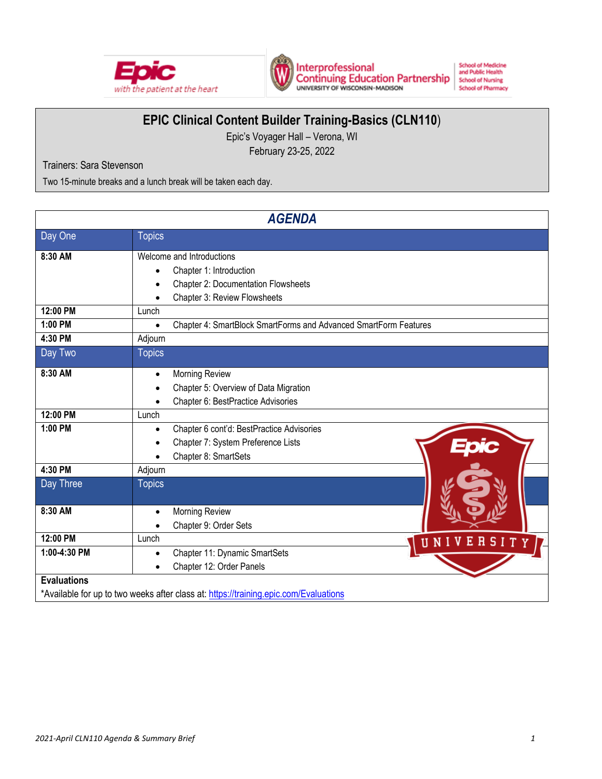



**School of Medicine**<br>and Public Health **School of Nursing School of Pharmacy** 

# **EPIC Clinical Content Builder Training-Basics (CLN110**)

Epic's Voyager Hall – Verona, WI February 23-25, 2022

Trainers: Sara Stevenson

Two 15-minute breaks and a lunch break will be taken each day.

| <b>AGENDA</b>      |                                                                                      |  |  |
|--------------------|--------------------------------------------------------------------------------------|--|--|
| Day One            | <b>Topics</b>                                                                        |  |  |
| 8:30 AM            | Welcome and Introductions                                                            |  |  |
|                    | Chapter 1: Introduction                                                              |  |  |
|                    | <b>Chapter 2: Documentation Flowsheets</b><br>$\bullet$                              |  |  |
|                    | Chapter 3: Review Flowsheets                                                         |  |  |
| 12:00 PM           | Lunch                                                                                |  |  |
| 1:00 PM            | Chapter 4: SmartBlock SmartForms and Advanced SmartForm Features<br>$\bullet$        |  |  |
| 4:30 PM            | Adjourn                                                                              |  |  |
| Day Two            | <b>Topics</b>                                                                        |  |  |
| 8:30 AM            | Morning Review<br>$\bullet$                                                          |  |  |
|                    | Chapter 5: Overview of Data Migration                                                |  |  |
|                    | Chapter 6: BestPractice Advisories                                                   |  |  |
| 12:00 PM           | Lunch                                                                                |  |  |
| 1:00 PM            | Chapter 6 cont'd: BestPractice Advisories<br>$\bullet$                               |  |  |
|                    | Chapter 7: System Preference Lists                                                   |  |  |
|                    | Chapter 8: SmartSets<br>$\bullet$                                                    |  |  |
| 4:30 PM            | Adjourn                                                                              |  |  |
| Day Three          | <b>Topics</b>                                                                        |  |  |
| 8:30 AM            | Morning Review                                                                       |  |  |
|                    | Chapter 9: Order Sets                                                                |  |  |
| 12:00 PM           | Lunch<br>UNIV<br><b>RSI</b><br>Ε                                                     |  |  |
| 1:00-4:30 PM       | Chapter 11: Dynamic SmartSets                                                        |  |  |
|                    | Chapter 12: Order Panels                                                             |  |  |
| <b>Evaluations</b> |                                                                                      |  |  |
|                    | *Available for up to two weeks after class at: https://training.epic.com/Evaluations |  |  |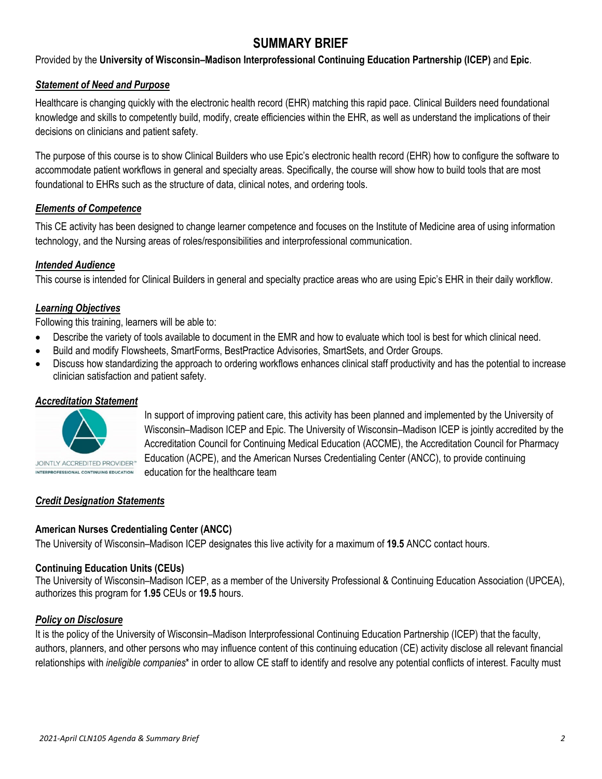## **SUMMARY BRIEF**

Provided by the **University of Wisconsin–Madison Interprofessional Continuing Education Partnership (ICEP)** and **Epic**.

#### *Statement of Need and Purpose*

Healthcare is changing quickly with the electronic health record (EHR) matching this rapid pace. Clinical Builders need foundational knowledge and skills to competently build, modify, create efficiencies within the EHR, as well as understand the implications of their decisions on clinicians and patient safety.

The purpose of this course is to show Clinical Builders who use Epic's electronic health record (EHR) how to configure the software to accommodate patient workflows in general and specialty areas. Specifically, the course will show how to build tools that are most foundational to EHRs such as the structure of data, clinical notes, and ordering tools.

#### *Elements of Competence*

This CE activity has been designed to change learner competence and focuses on the Institute of Medicine area of using information technology, and the Nursing areas of roles/responsibilities and interprofessional communication.

#### *Intended Audience*

This course is intended for Clinical Builders in general and specialty practice areas who are using Epic's EHR in their daily workflow.

## *Learning Objectives*

Following this training, learners will be able to:

- Describe the variety of tools available to document in the EMR and how to evaluate which tool is best for which clinical need.
- Build and modify Flowsheets, SmartForms, BestPractice Advisories, SmartSets, and Order Groups.
- Discuss how standardizing the approach to ordering workflows enhances clinical staff productivity and has the potential to increase clinician satisfaction and patient safety.

#### *Accreditation Statement*



In support of improving patient care, this activity has been planned and implemented by the University of Wisconsin–Madison ICEP and Epic. The University of Wisconsin–Madison ICEP is jointly accredited by the Accreditation Council for Continuing Medical Education (ACCME), the Accreditation Council for Pharmacy Education (ACPE), and the American Nurses Credentialing Center (ANCC), to provide continuing education for the healthcare team

## *Credit Designation Statements*

#### **American Nurses Credentialing Center (ANCC)**

The University of Wisconsin–Madison ICEP designates this live activity for a maximum of **19.5** ANCC contact hours.

#### **Continuing Education Units (CEUs)**

The University of Wisconsin–Madison ICEP, as a member of the University Professional & Continuing Education Association (UPCEA), authorizes this program for **1.95** CEUs or **19.5** hours.

#### *Policy on Disclosure*

It is the policy of the University of Wisconsin–Madison Interprofessional Continuing Education Partnership (ICEP) that the faculty, authors, planners, and other persons who may influence content of this continuing education (CE) activity disclose all relevant financial relationships with *ineligible companies*\* in order to allow CE staff to identify and resolve any potential conflicts of interest. Faculty must